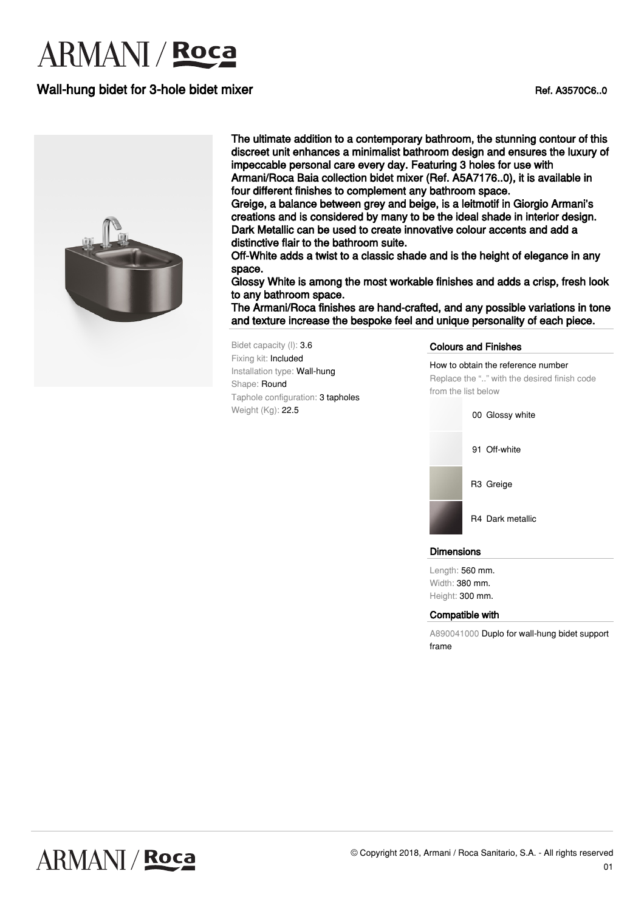### Wall-hung bidet for 3-hole bidet mixer Ref. A3570C6..0



The ultimate addition to a contemporary bathroom, the stunning contour of this discreet unit enhances a minimalist bathroom design and ensures the luxury of impeccable personal care every day. Featuring 3 holes for use with

Armani/Roca Baia collection bidet mixer (Ref. A5A7176..0), it is available in four different finishes to complement any bathroom space.

Greige, a balance between grey and beige, is a leitmotif in Giorgio Armani's creations and is considered by many to be the ideal shade in interior design. Dark Metallic can be used to create innovative colour accents and add a distinctive flair to the bathroom suite.

Off-White adds a twist to a classic shade and is the height of elegance in any space.

Glossy White is among the most workable finishes and adds a crisp, fresh look to any bathroom space.

The Armani/Roca finishes are hand-crafted, and any possible variations in tone and texture increase the bespoke feel and unique personality of each piece.

Bidet capacity (l): 3.6 Fixing kit: Included Installation type: Wall-hung Shape: Round Taphole configuration: 3 tapholes Weight (Kg): 22.5

#### Colours and Finishes

How to obtain the reference number Replace the ".." with the desired finish code from the list below



#### **Dimensions**

Length: 560 mm. Width: 380 mm. Height: 300 mm.

#### Compatible with

A890041000 Duplo for wall-hung bidet support frame

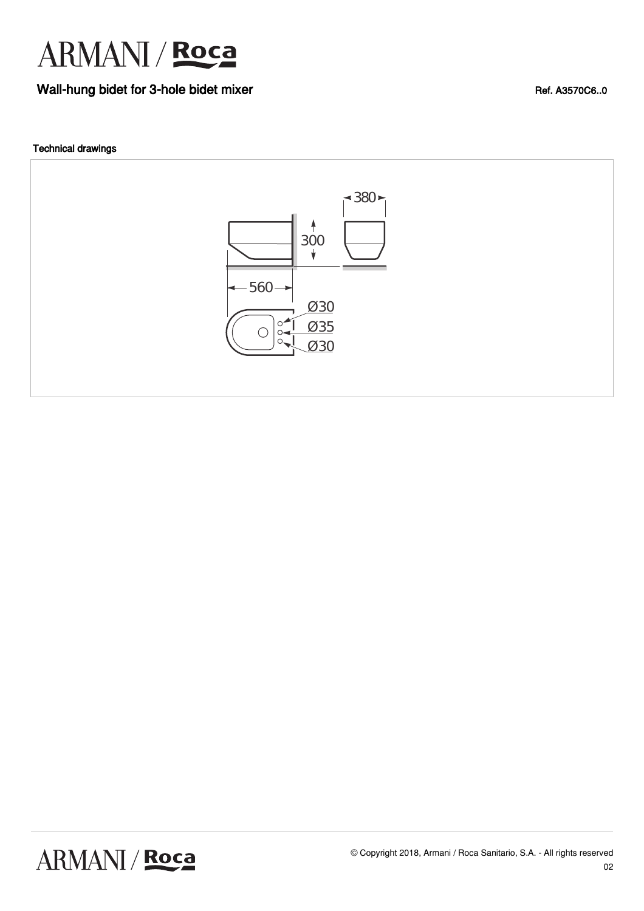

### Wall-hung bidet for 3-hole bidet mixer Ref. A3570C6..0

#### Technical drawings



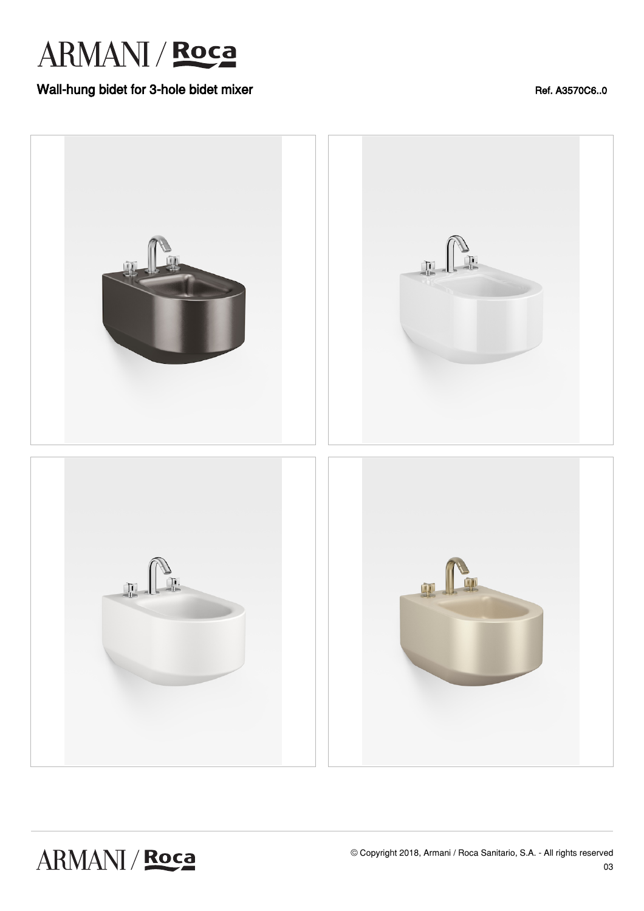

### Wall-hung bidet for 3-hole bidet mixer Ref. A3570C6..0

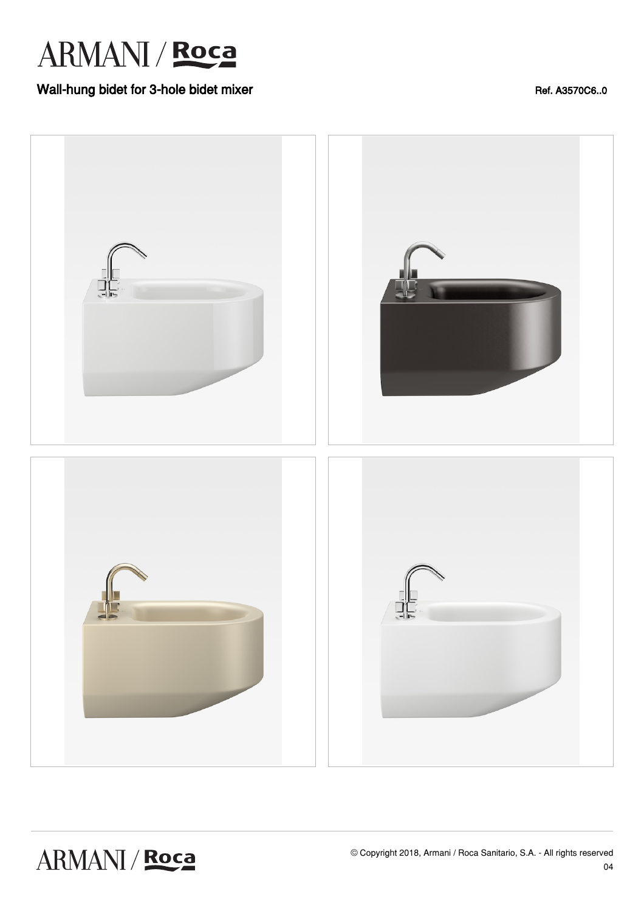### Wall-hung bidet for 3-hole bidet mixer Ref. A3570C6..0



ARMANI / Roca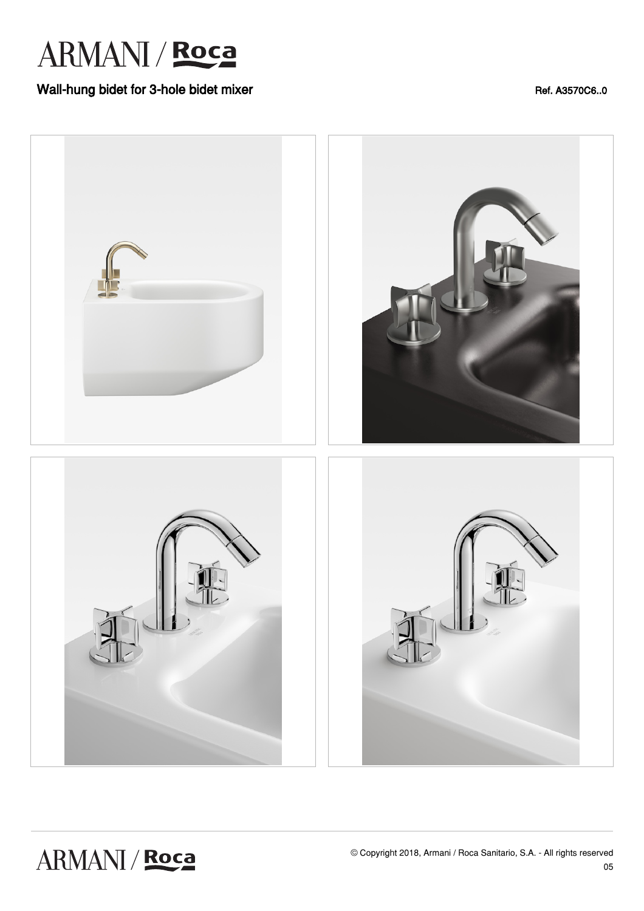### Wall-hung bidet for 3-hole bidet mixer Ref. A3570C6..0



## ARMANI / Roca